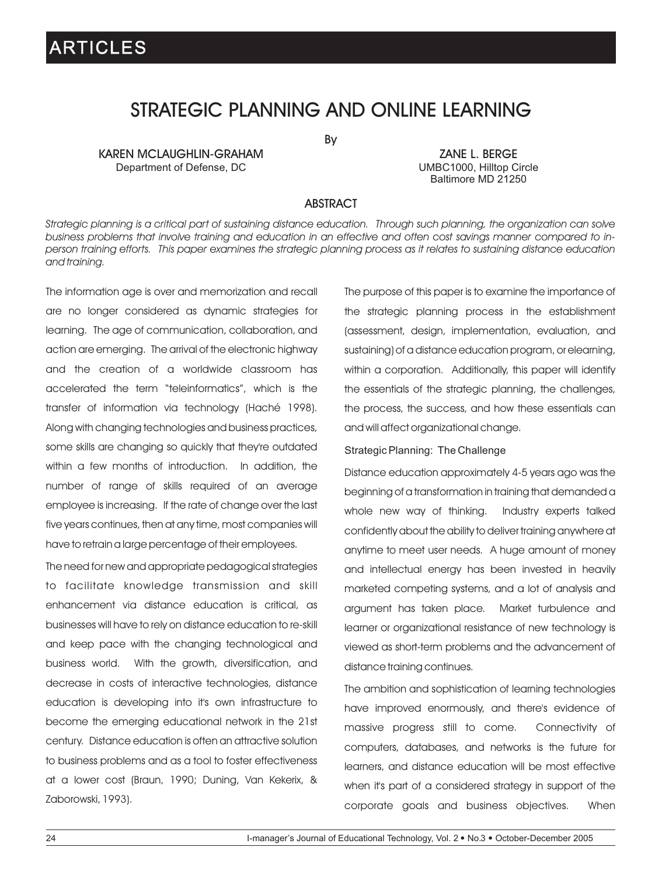### STRATEGIC PLANNING AND ONLINE LEARNING

By

KAREN MCLAUGHLIN-GRAHAM ZANE L. BERGE<br>Department of Defense, DC Department of Defense, DC Department of Defense, DC

Baltimore MD 21250

### ABSTRACT

*Strategic planning is a critical part of sustaining distance education. Through such planning, the organization can solve business problems that involve training and education in an effective and often cost savings manner compared to inperson training efforts. This paper examines the strategic planning process as it relates to sustaining distance education and training.*

The information age is over and memorization and recall are no longer considered as dynamic strategies for learning. The age of communication, collaboration, and action are emerging. The arrival of the electronic highway and the creation of a worldwide classroom has accelerated the term "teleinformatics", which is the transfer of information via technology (Haché 1998). Along with changing technologies and business practices, some skills are changing so quickly that they're outdated within a few months of introduction. In addition, the number of range of skills required of an average employee is increasing. If the rate of change over the last five years continues, then at any time, most companies will have to retrain a large percentage of their employees.

The need for new and appropriate pedagogical strategies to facilitate knowledge transmission and skill enhancement via distance education is critical, as businesses will have to rely on distance education to re-skill and keep pace with the changing technological and business world. With the growth, diversification, and decrease in costs of interactive technologies, distance education is developing into it's own infrastructure to become the emerging educational network in the 21st century. Distance education is often an attractive solution to business problems and as a tool to foster effectiveness at a lower cost (Braun, 1990; Duning, Van Kekerix, & Zaborowski, 1993).

The purpose of this paper is to examine the importance of the strategic planning process in the establishment (assessment, design, implementation, evaluation, and sustaining) of a distance education program, or elearning, within a corporation. Additionally, this paper will identify the essentials of the strategic planning, the challenges, the process, the success, and how these essentials can and will affect organizational change.

#### Strategic Planning: The Challenge

Distance education approximately 4-5 years ago was the beginning of a transformation in training that demanded a whole new way of thinking. Industry experts talked confidently about the ability to deliver training anywhere at anytime to meet user needs. A huge amount of money and intellectual energy has been invested in heavily marketed competing systems, and a lot of analysis and argument has taken place. Market turbulence and learner or organizational resistance of new technology is viewed as short-term problems and the advancement of distance training continues.

The ambition and sophistication of learning technologies have improved enormously, and there's evidence of massive progress still to come. Connectivity of computers, databases, and networks is the future for learners, and distance education will be most effective when it's part of a considered strategy in support of the corporate goals and business objectives. When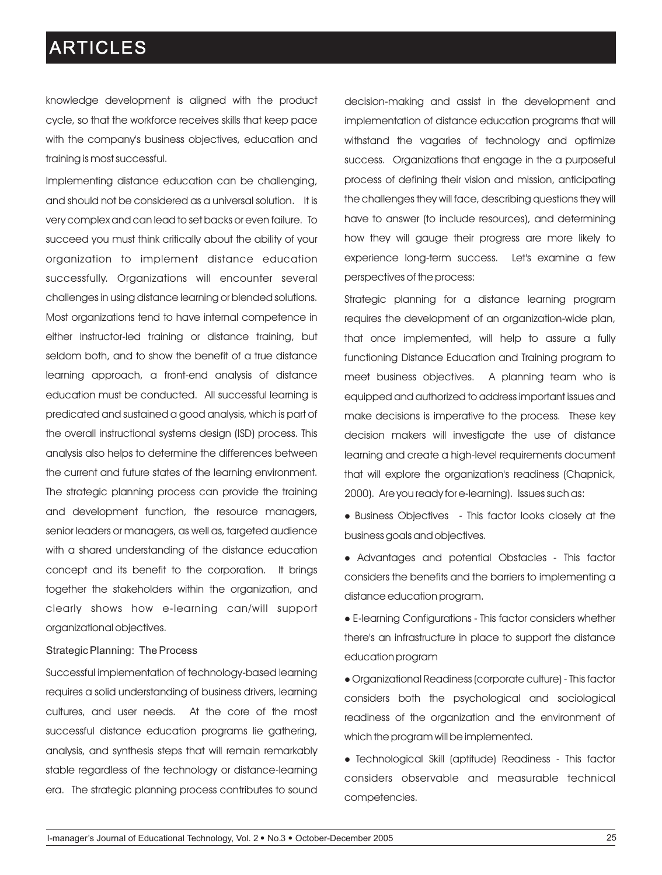knowledge development is aligned with the product cycle, so that the workforce receives skills that keep pace with the company's business objectives, education and training is most successful.

Implementing distance education can be challenging, and should not be considered as a universal solution. It is very complex and can lead to set backs or even failure. To succeed you must think critically about the ability of your organization to implement distance education successfully. Organizations will encounter several challenges in using distance learning or blended solutions. Most organizations tend to have internal competence in either instructor-led training or distance training, but seldom both, and to show the benefit of a true distance learning approach, a front-end analysis of distance education must be conducted. All successful learning is predicated and sustained a good analysis, which is part of the overall instructional systems design (ISD) process. This analysis also helps to determine the differences between the current and future states of the learning environment. The strategic planning process can provide the training and development function, the resource managers, senior leaders or managers, as well as, targeted audience with a shared understanding of the distance education concept and its benefit to the corporation. It brings together the stakeholders within the organization, and clearly shows how e-learning can/will support organizational objectives.

#### Strategic Planning: The Process

Successful implementation of technology-based learning requires a solid understanding of business drivers, learning cultures, and user needs. At the core of the most successful distance education programs lie gathering, analysis, and synthesis steps that will remain remarkably stable regardless of the technology or distance-learning era. The strategic planning process contributes to sound

decision-making and assist in the development and implementation of distance education programs that will withstand the vagaries of technology and optimize success. Organizations that engage in the a purposeful process of defining their vision and mission, anticipating the challenges they will face, describing questions they will have to answer (to include resources), and determining how they will gauge their progress are more likely to experience long-term success. Let's examine a few perspectives of the process:

Strategic planning for a distance learning program requires the development of an organization-wide plan, that once implemented, will help to assure a fully functioning Distance Education and Training program to meet business objectives. A planning team who is equipped and authorized to address important issues and make decisions is imperative to the process. These key decision makers will investigate the use of distance learning and create a high-level requirements document that will explore the organization's readiness (Chapnick, 2000). Are you ready for e-learning). Issues such as:

• Business Objectives - This factor looks closely at the business goals and objectives.

• Advantages and potential Obstacles - This factor considers the benefits and the barriers to implementing a distance education program.

lE-learning Configurations - This factor considers whether there's an infrastructure in place to support the distance education program

lOrganizational Readiness (corporate culture) - This factor considers both the psychological and sociological readiness of the organization and the environment of which the program will be implemented.

• Technological Skill (aptitude) Readiness - This factor considers observable and measurable technical competencies.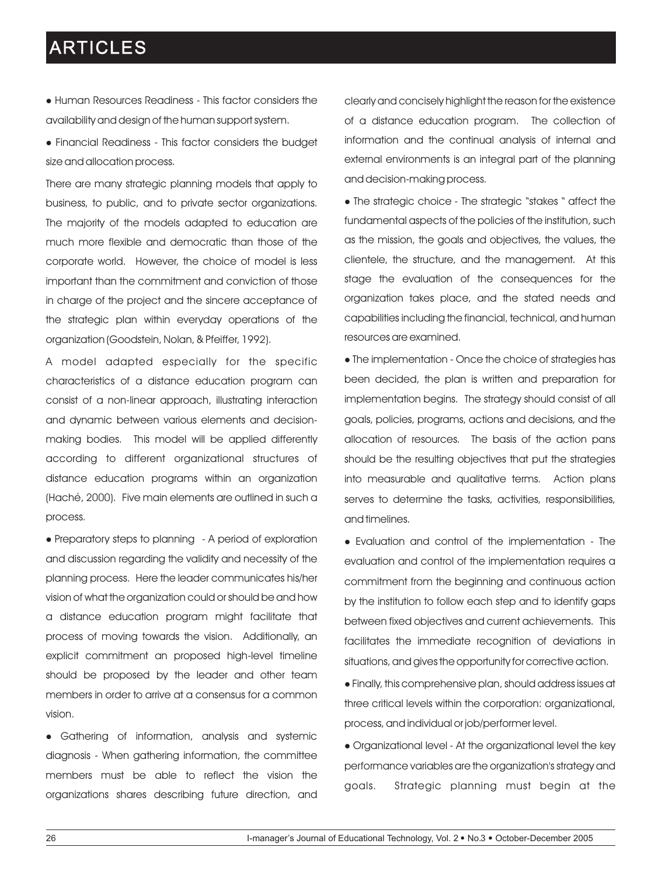- Human Resources Readiness This factor considers the availability and design of the human support system.
- Financial Readiness This factor considers the budget size and allocation process.

There are many strategic planning models that apply to business, to public, and to private sector organizations. The majority of the models adapted to education are much more flexible and democratic than those of the corporate world. However, the choice of model is less important than the commitment and conviction of those in charge of the project and the sincere acceptance of the strategic plan within everyday operations of the organization (Goodstein, Nolan, & Pfeiffer, 1992).

A model adapted especially for the specific characteristics of a distance education program can consist of a non-linear approach, illustrating interaction and dynamic between various elements and decisionmaking bodies. This model will be applied differently according to different organizational structures of distance education programs within an organization (Haché, 2000). Five main elements are outlined in such a process.

• Preparatory steps to planning - A period of exploration and discussion regarding the validity and necessity of the planning process. Here the leader communicates his/her vision of what the organization could or should be and how a distance education program might facilitate that process of moving towards the vision. Additionally, an explicit commitment an proposed high-level timeline should be proposed by the leader and other team members in order to arrive at a consensus for a common vision.

• Gathering of information, analysis and systemic diagnosis - When gathering information, the committee members must be able to reflect the vision the organizations shares describing future direction, and clearly and concisely highlight the reason for the existence of a distance education program. The collection of information and the continual analysis of internal and external environments is an integral part of the planning and decision-making process.

• The strategic choice - The strategic "stakes " affect the fundamental aspects of the policies of the institution, such as the mission, the goals and objectives, the values, the clientele, the structure, and the management. At this stage the evaluation of the consequences for the organization takes place, and the stated needs and capabilities including the financial, technical, and human resources are examined.

• The implementation - Once the choice of strategies has been decided, the plan is written and preparation for implementation begins. The strategy should consist of all goals, policies, programs, actions and decisions, and the allocation of resources. The basis of the action pans should be the resulting objectives that put the strategies into measurable and qualitative terms. Action plans serves to determine the tasks, activities, responsibilities, and timelines.

• Evaluation and control of the implementation - The evaluation and control of the implementation requires a commitment from the beginning and continuous action by the institution to follow each step and to identify gaps between fixed objectives and current achievements. This facilitates the immediate recognition of deviations in situations, and gives the opportunity for corrective action.

 $\bullet$  Finally, this comprehensive plan, should address issues at three critical levels within the corporation: organizational, process, and individual or job/performer level.

• Organizational level - At the organizational level the key performance variables are the organization's strategy and goals. Strategic planning must begin at the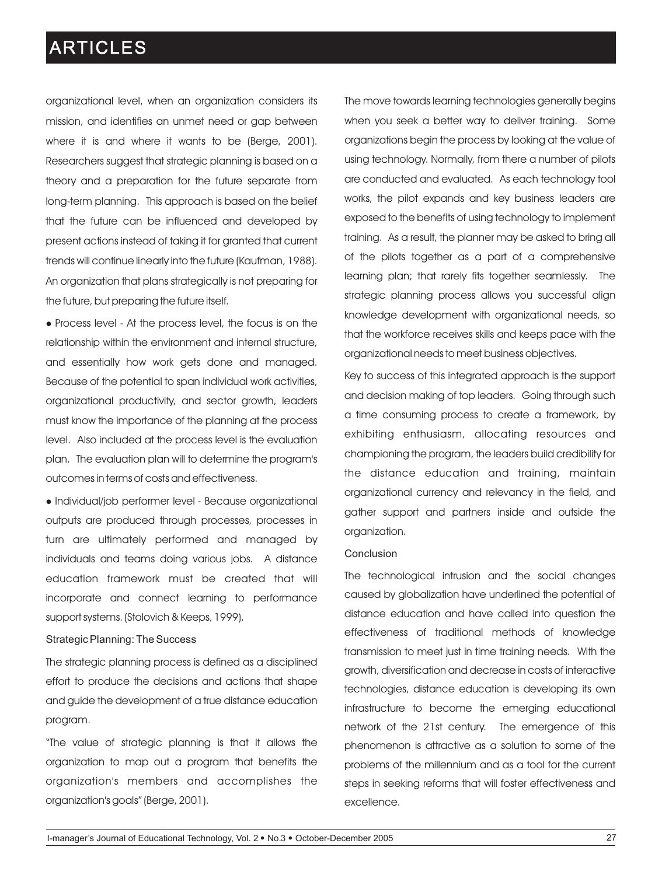organizational level, when an organization considers its mission, and identifies an unmet need or gap between where it is and where it wants to be (Berge, 2001). Researchers suggest that strategic planning is based on a theory and a preparation for the future separate from long-term planning. This approach is based on the belief that the future can be influenced and developed by present actions instead of taking it for granted that current trends will continue linearly into the future (Kaufman, 1988). An organization that plans strategically is not preparing for the future, but preparing the future itself.

• Process level - At the process level, the focus is on the relationship within the environment and internal structure, and essentially how work gets done and managed. Because of the potential to span individual work activities, organizational productivity, and sector growth, leaders must know the importance of the planning at the process level. Also included at the process level is the evaluation plan. The evaluation plan will to determine the program's outcomes in terms of costs and effectiveness.

• Individual/job performer level - Because organizational outputs are produced through processes, processes in turn are ultimately performed and managed by individuals and teams doing various jobs. A distance education framework must be created that will incorporate and connect learning to performance support systems. (Stolovich & Keeps, 1999).

#### Strategic Planning: The Success

The strategic planning process is defined as a disciplined effort to produce the decisions and actions that shape and guide the development of a true distance education program.

"The value of strategic planning is that it allows the organization to map out a program that benefits the organization's members and accomplishes the organization's goals" (Berge, 2001).

The move towards learning technologies generally begins when you seek a better way to deliver training. Some organizations begin the process by looking at the value of using technology. Normally, from there a number of pilots are conducted and evaluated. As each technology tool works, the pilot expands and key business leaders are exposed to the benefits of using technology to implement training. As a result, the planner may be asked to bring all of the pilots together as a part of a comprehensive learning plan; that rarely fits together seamlessly. The strategic planning process allows you successful align knowledge development with organizational needs, so that the workforce receives skills and keeps pace with the organizational needs to meet business objectives.

Key to success of this integrated approach is the support and decision making of top leaders. Going through such a time consuming process to create a framework, by exhibiting enthusiasm, allocating resources and championing the program, the leaders build credibility for the distance education and training, maintain organizational currency and relevancy in the field, and gather support and partners inside and outside the organization.

#### Conclusion

The technological intrusion and the social changes caused by globalization have underlined the potential of distance education and have called into question the effectiveness of traditional methods of knowledge transmission to meet just in time training needs. With the growth, diversification and decrease in costs of interactive technologies, distance education is developing its own infrastructure to become the emerging educational network of the 21st century. The emergence of this phenomenon is attractive as a solution to some of the problems of the millennium and as a tool for the current steps in seeking reforms that will foster effectiveness and excellence.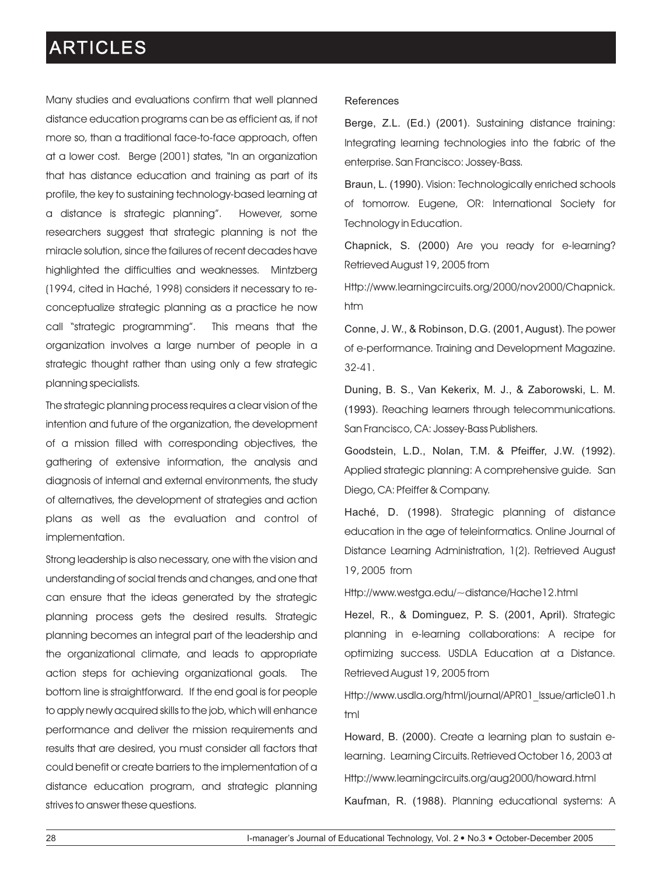Many studies and evaluations confirm that well planned distance education programs can be as efficient as, if not more so, than a traditional face-to-face approach, often at a lower cost. Berge (2001) states, "In an organization that has distance education and training as part of its profile, the key to sustaining technology-based learning at a distance is strategic planning". However, some researchers suggest that strategic planning is not the miracle solution, since the failures of recent decades have highlighted the difficulties and weaknesses. Mintzberg (1994, cited in Haché, 1998) considers it necessary to reconceptualize strategic planning as a practice he now call "strategic programming". This means that the organization involves a large number of people in a strategic thought rather than using only a few strategic planning specialists.

The strategic planning process requires a clear vision of the intention and future of the organization, the development of a mission filled with corresponding objectives, the gathering of extensive information, the analysis and diagnosis of internal and external environments, the study of alternatives, the development of strategies and action plans as well as the evaluation and control of implementation.

Strong leadership is also necessary, one with the vision and understanding of social trends and changes, and one that can ensure that the ideas generated by the strategic planning process gets the desired results. Strategic planning becomes an integral part of the leadership and the organizational climate, and leads to appropriate action steps for achieving organizational goals. The bottom line is straightforward. If the end goal is for people to apply newly acquired skills to the job, which will enhance performance and deliver the mission requirements and results that are desired, you must consider all factors that could benefit or create barriers to the implementation of a distance education program, and strategic planning strives to answer these questions.

#### References

Berge, Z.L. (Ed.) (2001). Sustaining distance training: Integrating learning technologies into the fabric of the enterprise. San Francisco: Jossey-Bass.

Braun, L. (1990). Vision: Technologically enriched schools of tomorrow. Eugene, OR: International Society for Technology in Education.

Chapnick, S. (2000) Are you ready for e-learning? Retrieved August 19, 2005 from

Http://www.learningcircuits.org/2000/nov2000/Chapnick. htm

Conne, J. W., & Robinson, D.G. (2001, August). The power of e-performance. Training and Development Magazine. 32-41.

Duning, B. S., Van Kekerix, M. J., & Zaborowski, L. M. (1993). Reaching learners through telecommunications. San Francisco, CA: Jossey-Bass Publishers.

Goodstein, L.D., Nolan, T.M. & Pfeiffer, J.W. (1992). Applied strategic planning: A comprehensive guide. San Diego, CA: Pfeiffer & Company.

Haché, D. (1998). Strategic planning of distance education in the age of teleinformatics. Online Journal of Distance Learning Administration, 1(2). Retrieved August 19, 2005 from

Http://www.westga.edu/~distance/Hache12.html

Hezel, R., & Dominguez, P. S. (2001, April). Strategic planning in e-learning collaborations: A recipe for optimizing success. USDLA Education at a Distance. Retrieved August 19, 2005 from

Http://www.usdla.org/html/journal/APR01\_Issue/article01.h tml

Howard, B. (2000). Create a learning plan to sustain elearning. Learning Circuits. Retrieved October 16, 2003 at Http://www.learningcircuits.org/aug2000/howard.html Kaufman, R. (1988). Planning educational systems: A